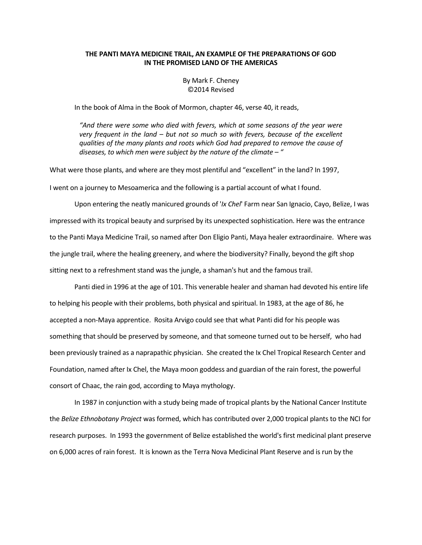## THE PANTI MAYA MEDICINE TRAIL, AN EXAMPLE OF THE PREPARATIONS OF GOD IN THE PROMISED LAND OF THE AMERICAS

By Mark F. Cheney ©2014 Revised

In the book of Alma in the Book of Mormon, chapter 46, verse 40, it reads,

"And there were some who died with fevers, which at some seasons of the year were very frequent in the land – but not so much so with fevers, because of the excellent qualities of the many plants and roots which God had prepared to remove the cause of diseases, to which men were subject by the nature of the climate  $-$  "

What were those plants, and where are they most plentiful and "excellent" in the land? In 1997, I went on a journey to Mesoamerica and the following is a partial account of what I found.

Upon entering the neatly manicured grounds of 'Ix Chel' Farm near San Ignacio, Cayo, Belize, I was impressed with its tropical beauty and surprised by its unexpected sophistication. Here was the entrance to the Panti Maya Medicine Trail, so named after Don Eligio Panti, Maya healer extraordinaire. Where was the jungle trail, where the healing greenery, and where the biodiversity? Finally, beyond the gift shop sitting next to a refreshment stand was the jungle, a shaman's hut and the famous trail.

 Panti died in 1996 at the age of 101. This venerable healer and shaman had devoted his entire life to helping his people with their problems, both physical and spiritual. In 1983, at the age of 86, he accepted a non-Maya apprentice. Rosita Arvigo could see that what Panti did for his people was something that should be preserved by someone, and that someone turned out to be herself, who had been previously trained as a naprapathic physician. She created the Ix Chel Tropical Research Center and Foundation, named after Ix Chel, the Maya moon goddess and guardian of the rain forest, the powerful consort of Chaac, the rain god, according to Maya mythology.

 In 1987 in conjunction with a study being made of tropical plants by the National Cancer Institute the Belize Ethnobotany Project was formed, which has contributed over 2,000 tropical plants to the NCI for research purposes. In 1993 the government of Belize established the world's first medicinal plant preserve on 6,000 acres of rain forest. It is known as the Terra Nova Medicinal Plant Reserve and is run by the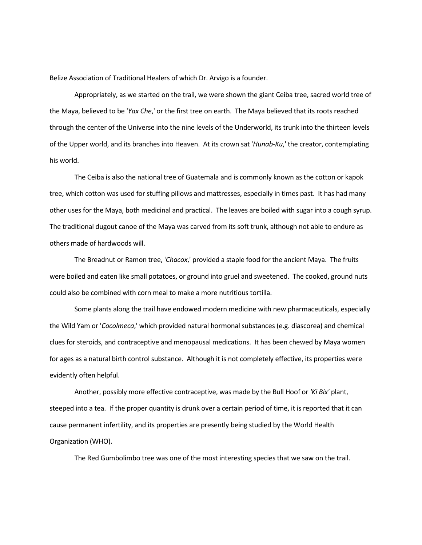Belize Association of Traditional Healers of which Dr. Arvigo is a founder.

 Appropriately, as we started on the trail, we were shown the giant Ceiba tree, sacred world tree of the Maya, believed to be 'Yax Che,' or the first tree on earth. The Maya believed that its roots reached through the center of the Universe into the nine levels of the Underworld, its trunk into the thirteen levels of the Upper world, and its branches into Heaven. At its crown sat 'Hunab-Ku,' the creator, contemplating his world.

 The Ceiba is also the national tree of Guatemala and is commonly known as the cotton or kapok tree, which cotton was used for stuffing pillows and mattresses, especially in times past. It has had many other uses for the Maya, both medicinal and practical. The leaves are boiled with sugar into a cough syrup. The traditional dugout canoe of the Maya was carved from its soft trunk, although not able to endure as others made of hardwoods will.

 The Breadnut or Ramon tree, 'Chacox,' provided a staple food for the ancient Maya. The fruits were boiled and eaten like small potatoes, or ground into gruel and sweetened. The cooked, ground nuts could also be combined with corn meal to make a more nutritious tortilla.

 Some plants along the trail have endowed modern medicine with new pharmaceuticals, especially the Wild Yam or 'Cocolmeca,' which provided natural hormonal substances (e.g. diascorea) and chemical clues for steroids, and contraceptive and menopausal medications. It has been chewed by Maya women for ages as a natural birth control substance. Although it is not completely effective, its properties were evidently often helpful.

Another, possibly more effective contraceptive, was made by the Bull Hoof or 'Ki Bix' plant, steeped into a tea. If the proper quantity is drunk over a certain period of time, it is reported that it can cause permanent infertility, and its properties are presently being studied by the World Health Organization (WHO).

The Red Gumbolimbo tree was one of the most interesting species that we saw on the trail.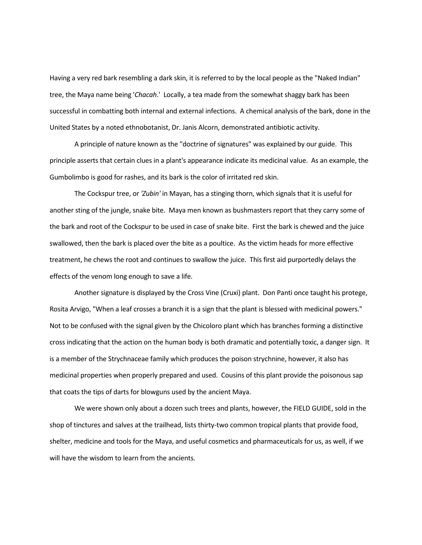Having a very red bark resembling a dark skin, it is referred to by the local people as the "Naked Indian" tree, the Maya name being 'Chacah.' Locally, a tea made from the somewhat shaggy bark has been successful in combatting both internal and external infections. A chemical analysis of the bark, done in the United States by a noted ethnobotanist, Dr. Janis Alcorn, demonstrated antibiotic activity.

 A principle of nature known as the "doctrine of signatures" was explained by our guide. This principle asserts that certain clues in a plant's appearance indicate its medicinal value. As an example, the Gumbolimbo is good for rashes, and its bark is the color of irritated red skin.

 The Cockspur tree, or 'Zubin' in Mayan, has a stinging thorn, which signals that it is useful for another sting of the jungle, snake bite. Maya men known as bushmasters report that they carry some of the bark and root of the Cockspur to be used in case of snake bite. First the bark is chewed and the juice swallowed, then the bark is placed over the bite as a poultice. As the victim heads for more effective treatment, he chews the root and continues to swallow the juice. This first aid purportedly delays the effects of the venom long enough to save a life.

 Another signature is displayed by the Cross Vine (Cruxi) plant. Don Panti once taught his protege, Rosita Arvigo, "When a leaf crosses a branch it is a sign that the plant is blessed with medicinal powers." Not to be confused with the signal given by the Chicoloro plant which has branches forming a distinctive cross indicating that the action on the human body is both dramatic and potentially toxic, a danger sign. It is a member of the Strychnaceae family which produces the poison strychnine, however, it also has medicinal properties when properly prepared and used. Cousins of this plant provide the poisonous sap that coats the tips of darts for blowguns used by the ancient Maya.

 We were shown only about a dozen such trees and plants, however, the FIELD GUIDE, sold in the shop of tinctures and salves at the trailhead, lists thirty-two common tropical plants that provide food, shelter, medicine and tools for the Maya, and useful cosmetics and pharmaceuticals for us, as well, if we will have the wisdom to learn from the ancients.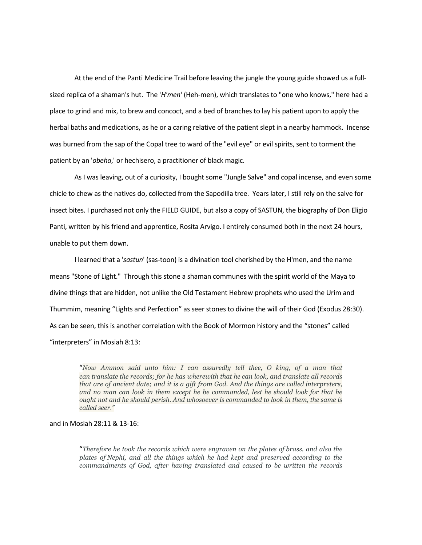At the end of the Panti Medicine Trail before leaving the jungle the young guide showed us a fullsized replica of a shaman's hut. The 'H'men' (Heh-men), which translates to "one who knows," here had a place to grind and mix, to brew and concoct, and a bed of branches to lay his patient upon to apply the herbal baths and medications, as he or a caring relative of the patient slept in a nearby hammock. Incense was burned from the sap of the Copal tree to ward of the "evil eye" or evil spirits, sent to torment the patient by an 'obeha,' or hechisero, a practitioner of black magic.

 As I was leaving, out of a curiosity, I bought some "Jungle Salve" and copal incense, and even some chicle to chew as the natives do, collected from the Sapodilla tree. Years later, I still rely on the salve for insect bites. I purchased not only the FIELD GUIDE, but also a copy of SASTUN, the biography of Don Eligio Panti, written by his friend and apprentice, Rosita Arvigo. I entirely consumed both in the next 24 hours, unable to put them down.

 I learned that a 'sastun' (sas-toon) is a divination tool cherished by the H'men, and the name means "Stone of Light." Through this stone a shaman communes with the spirit world of the Maya to divine things that are hidden, not unlike the Old Testament Hebrew prophets who used the Urim and Thummim, meaning "Lights and Perfection" as seer stones to divine the will of their God (Exodus 28:30). As can be seen, this is another correlation with the Book of Mormon history and the "stones" called "interpreters" in Mosiah 8:13:

"Now Ammon said unto him: I can assuredly tell thee, O king, of a man that can translate the records; for he has wherewith that he can look, and translate all records that are of ancient date; and it is a gift from God. And the things are called interpreters, and no man can look in them except he be commanded, lest he should look for that he ought not and he should perish. And whosoever is commanded to look in them, the same is called seer."

## and in Mosiah 28:11 & 13-16:

"Therefore he took the records which were engraven on the plates of brass, and also the plates of Nephi, and all the things which he had kept and preserved according to the commandments of God, after having translated and caused to be written the records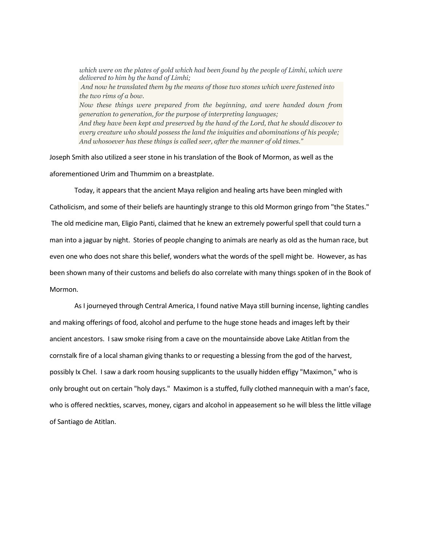which were on the plates of gold which had been found by the people of Limhi, which were delivered to him by the hand of Limhi; And now he translated them by the means of those two stones which were fastened into the two rims of a bow. Now these things were prepared from the beginning, and were handed down from generation to generation, for the purpose of interpreting languages; And they have been kept and preserved by the hand of the Lord, that he should discover to every creature who should possess the land the iniquities and abominations of his people; And whosoever has these things is called seer, after the manner of old times."

Joseph Smith also utilized a seer stone in his translation of the Book of Mormon, as well as the aforementioned Urim and Thummim on a breastplate.

 Today, it appears that the ancient Maya religion and healing arts have been mingled with Catholicism, and some of their beliefs are hauntingly strange to this old Mormon gringo from "the States." The old medicine man, Eligio Panti, claimed that he knew an extremely powerful spell that could turn a man into a jaguar by night. Stories of people changing to animals are nearly as old as the human race, but even one who does not share this belief, wonders what the words of the spell might be. However, as has been shown many of their customs and beliefs do also correlate with many things spoken of in the Book of Mormon.

 As I journeyed through Central America, I found native Maya still burning incense, lighting candles and making offerings of food, alcohol and perfume to the huge stone heads and images left by their ancient ancestors. I saw smoke rising from a cave on the mountainside above Lake Atitlan from the cornstalk fire of a local shaman giving thanks to or requesting a blessing from the god of the harvest, possibly Ix Chel. I saw a dark room housing supplicants to the usually hidden effigy "Maximon," who is only brought out on certain "holy days." Maximon is a stuffed, fully clothed mannequin with a man's face, who is offered neckties, scarves, money, cigars and alcohol in appeasement so he will bless the little village of Santiago de Atitlan.